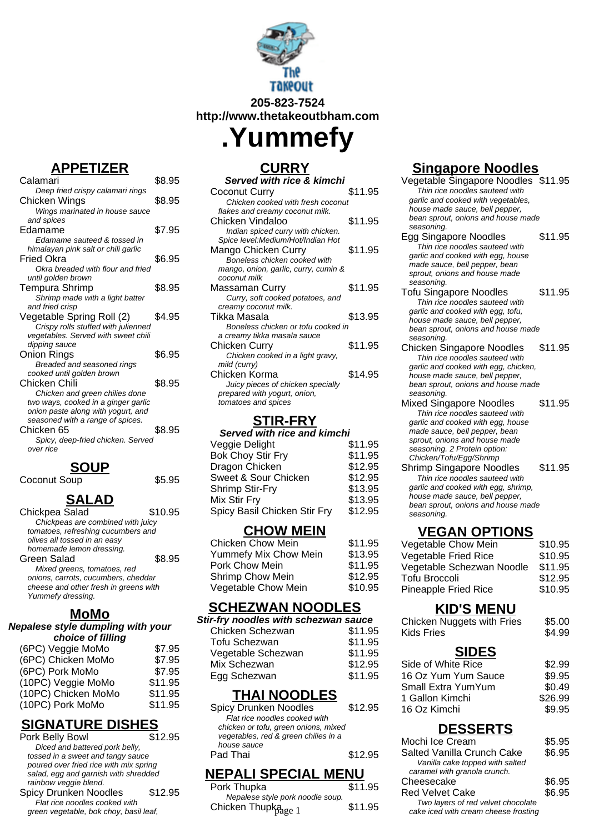

**205-823-7524 http://www.thetakeoutbham.com**

**.Yummefy**

# **CURRY**

| Served with rice & kimchi                                         |         |
|-------------------------------------------------------------------|---------|
| Coconut Curry                                                     | \$11.95 |
| Chicken cooked with fresh coconut                                 |         |
| flakes and creamy coconut milk.                                   |         |
| Chicken Vindaloo                                                  | \$11.95 |
| Indian spiced curry with chicken.                                 |         |
| Spice level: Medium/Hot/Indian Hot                                |         |
| Mango Chicken Curry                                               | \$11.95 |
| Boneless chicken cooked with                                      |         |
| mango, onion, garlic, curry, cumin &                              |         |
| coconut milk                                                      |         |
| Massaman Curry                                                    | \$11.95 |
| Curry, soft cooked potatoes, and                                  |         |
| creamy coconut milk.<br>Tikka Masala                              | \$13.95 |
|                                                                   |         |
| Boneless chicken or tofu cooked in<br>a creamy tikka masala sauce |         |
| Chicken Curry                                                     | \$11.95 |
| Chicken cooked in a light gravy,                                  |         |
| mild (curry)                                                      |         |
| Chicken Korma                                                     | \$14.95 |
| Juicy pieces of chicken specially                                 |         |
| prepared with yogurt, onion,                                      |         |
| tomatoes and spices                                               |         |
|                                                                   |         |

## **STIR-FRY**

| Served with rice and kimchi  |         |  |
|------------------------------|---------|--|
| Veggie Delight               | \$11.95 |  |
| <b>Bok Choy Stir Fry</b>     | \$11.95 |  |
| Dragon Chicken               | \$12.95 |  |
| Sweet & Sour Chicken         | \$12.95 |  |
| <b>Shrimp Stir-Fry</b>       | \$13.95 |  |
| Mix Stir Fry                 | \$13.95 |  |
| Spicy Basil Chicken Stir Fry | \$12.95 |  |
|                              |         |  |

#### **CHOW MEIN**

| <b>Chicken Chow Mein</b> | \$11.95 |
|--------------------------|---------|
| Yummefy Mix Chow Mein    | \$13.95 |
| Pork Chow Mein           | \$11.95 |
| Shrimp Chow Mein         | \$12.95 |
| Vegetable Chow Mein      | \$10.95 |
|                          |         |

## **SCHEZWAN NOODLES**

| Stir-fry noodles with schezwan sauce |         |
|--------------------------------------|---------|
| Chicken Schezwan                     | \$11.95 |
| Tofu Schezwan                        | \$11.95 |
| Vegetable Schezwan                   | \$11.95 |
| Mix Schezwan                         | \$12.95 |
| Egg Schezwan                         | \$11.95 |

#### **THAI NOODLES**

| Spicy Drunken Noodles                | \$12.95 |
|--------------------------------------|---------|
| Flat rice noodles cooked with        |         |
| chicken or tofu, green onions, mixed |         |
| vegetables, red & green chilies in a |         |
| house sauce                          |         |
| Pad Thai                             | \$12.95 |
|                                      |         |

## **NEPALI SPECIAL MENU**

| Pork Thupka                      | \$11.95 |  |
|----------------------------------|---------|--|
| Nepalese style pork noodle soup. |         |  |
| Chicken Thupkage 1               | \$11.95 |  |

# **Singapore Noodles**

Vegetable Singapore Noodles \$11.95 Thin rice noodles sauteed with garlic and cooked with vegetables, house made sauce, bell pepper, bean sprout, onions and house made seasoning.

- Egg Singapore Noodles \$11.95 Thin rice noodles sauteed with garlic and cooked with egg, house made sauce, bell pepper, bean sprout, onions and house made seasoning.
- Tofu Singapore Noodles \$11.95 Thin rice noodles sauteed with garlic and cooked with egg, tofu, house made sauce, bell pepper, bean sprout, onions and house made seasoning.
- Chicken Singapore Noodles \$11.95 Thin rice noodles sauteed with garlic and cooked with egg, chicken, house made sauce, bell pepper, bean sprout, onions and house made seasoning.
- Mixed Singapore Noodles \$11.95 Thin rice noodles sauteed with garlic and cooked with egg, house made sauce, bell pepper, bean sprout, onions and house made seasoning. 2 Protein option: Chicken/Tofu/Egg/Shrimp
- Shrimp Singapore Noodles \$11.95 Thin rice noodles sauteed with garlic and cooked with egg, shrimp, house made sauce, bell pepper, bean sprout, onions and house made seasoning.

## **VEGAN OPTIONS**

| Vegetable Chow Mein       | \$10.95 |
|---------------------------|---------|
| Vegetable Fried Rice      | \$10.95 |
| Vegetable Schezwan Noodle | \$11.95 |
| <b>Tofu Broccoli</b>      | \$12.95 |
| Pineapple Fried Rice      | \$10.95 |

#### **KID'S MENU**

| Chicken Nuggets with Fries<br>Kids Fries | \$5.00<br>\$4.99 |
|------------------------------------------|------------------|
|                                          |                  |
| <b>SIDES</b>                             |                  |

| .urs                |         |
|---------------------|---------|
| Side of White Rice  | \$2.99  |
| 16 Oz Yum Yum Sauce | \$9.95  |
| Small Extra YumYum  | \$0.49  |
| 1 Gallon Kimchi     | \$26.99 |
| 16 Oz Kimchi        | \$9.95  |

## **DESSERTS**

| & green cnilles in a               |         | Mochi Ice Cream                                                            | \$5.95           |
|------------------------------------|---------|----------------------------------------------------------------------------|------------------|
|                                    | \$12.95 | Salted Vanilla Crunch Cake<br>Vanilla cake topped with salted              | \$6.95           |
| <b>PECIAL MENU</b>                 |         | caramel with granola crunch.                                               |                  |
|                                    | \$11.95 | Cheesecake<br><b>Red Velvet Cake</b>                                       | \$6.95<br>\$6.95 |
| e pork noodle soup.<br>.<br>Page 1 | \$11.95 | Two layers of red velvet chocolate<br>cake iced with cream cheese frosting |                  |

# **APPETIZER**

| 31 I                                           |        |
|------------------------------------------------|--------|
| Spicy, deep-fried chicken. Served<br>over rice |        |
|                                                |        |
| Chicken 65                                     | \$8.95 |
| seasoned with a range of spices.               |        |
| onion paste along with yogurt, and             |        |
| two ways, cooked in a ginger garlic            |        |
| Chicken and green chilies done                 |        |
| Chicken Chili                                  | \$8.95 |
| cooked until golden brown                      |        |
| Breaded and seasoned rings                     |        |
|                                                |        |
| Onion Rings                                    | \$6.95 |
| dipping sauce                                  |        |
| vegetables. Served with sweet chili            |        |
| Crispy rolls stuffed with julienned            |        |
| Vegetable Spring Roll (2)                      | \$4.95 |
| and fried crisp                                |        |
| Shrimp made with a light batter                |        |
| <b>Tempura Shrimp</b>                          | \$8.95 |
| until golden brown                             |        |
| Okra breaded with flour and fried              |        |
| Fried Okra                                     | \$6.95 |
| himalayan pink salt or chili garlic            |        |
| Edamame sauteed & tossed in                    |        |
| Edamame                                        | \$7.95 |
| and spices                                     |        |
| Wings marinated in house sauce                 |        |
| Chicken Wings                                  | \$8.95 |
| Deep fried crispy calamari rings               |        |
| Calamari                                       | \$8.95 |
|                                                |        |

**SOUP**

Coconut Soup \$5.95

## **SALAD**

| Chickpea Salad                        | \$10.95 |
|---------------------------------------|---------|
| Chickpeas are combined with juicy     |         |
| tomatoes, refreshing cucumbers and    |         |
| olives all tossed in an easy          |         |
| homemade lemon dressing.              |         |
| Green Salad                           | \$8.95  |
| Mixed greens, tomatoes, red           |         |
| onions, carrots, cucumbers, cheddar   |         |
| cheese and other fresh in greens with |         |
| Yummefy dressing.                     |         |
|                                       |         |

## **MoMo**

# **Nepalese style dumpling with your**

| choice of filling   |         |
|---------------------|---------|
| (6PC) Veggie MoMo   | \$7.95  |
| (6PC) Chicken MoMo  | \$7.95  |
| (6PC) Pork MoMo     | \$7.95  |
| (10PC) Veggie MoMo  | \$11.95 |
| (10PC) Chicken MoMo | \$11.95 |
| (10PC) Pork MoMo    | \$11.95 |
|                     |         |

# **SIGNATURE DISHES**

| Pork Belly Bowl                        | \$12.95 |  |
|----------------------------------------|---------|--|
| Diced and battered pork belly,         |         |  |
| tossed in a sweet and tangy sauce      |         |  |
| poured over fried rice with mix spring |         |  |
| salad, egg and garnish with shredded   |         |  |
| rainbow veggie blend.                  |         |  |
| Spicy Drunken Noodles                  | \$12.95 |  |
| Flat rice noodles cooked with          |         |  |
| green vegetable, bok choy, basil leaf, |         |  |
|                                        |         |  |